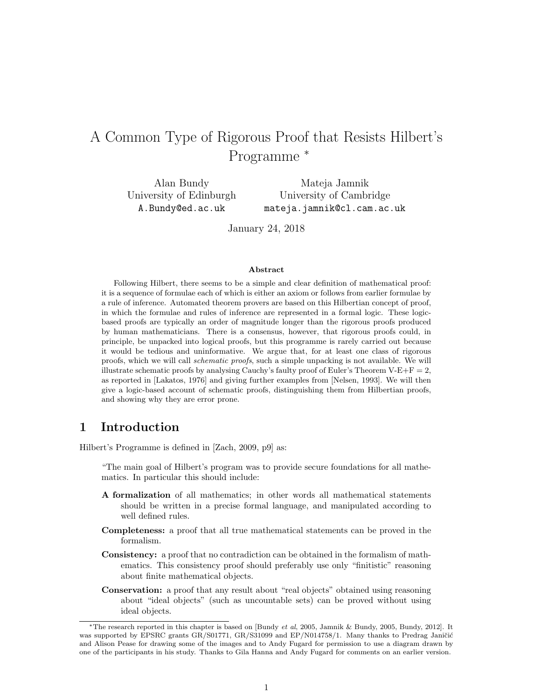# A Common Type of Rigorous Proof that Resists Hilbert's Programme <sup>∗</sup>

Alan Bundy University of Edinburgh A.Bundy@ed.ac.uk

Mateja Jamnik University of Cambridge mateja.jamnik@cl.cam.ac.uk

January 24, 2018

#### Abstract

Following Hilbert, there seems to be a simple and clear definition of mathematical proof: it is a sequence of formulae each of which is either an axiom or follows from earlier formulae by a rule of inference. Automated theorem provers are based on this Hilbertian concept of proof, in which the formulae and rules of inference are represented in a formal logic. These logicbased proofs are typically an order of magnitude longer than the rigorous proofs produced by human mathematicians. There is a consensus, however, that rigorous proofs could, in principle, be unpacked into logical proofs, but this programme is rarely carried out because it would be tedious and uninformative. We argue that, for at least one class of rigorous proofs, which we will call schematic proofs, such a simple unpacking is not available. We will illustrate schematic proofs by analysing Cauchy's faulty proof of Euler's Theorem V-E+F  $= 2$ , as reported in [Lakatos, 1976] and giving further examples from [Nelsen, 1993]. We will then give a logic-based account of schematic proofs, distinguishing them from Hilbertian proofs, and showing why they are error prone.

## 1 Introduction

Hilbert's Programme is defined in [Zach, 2009, p9] as:

"The main goal of Hilbert's program was to provide secure foundations for all mathematics. In particular this should include:

- A formalization of all mathematics; in other words all mathematical statements should be written in a precise formal language, and manipulated according to well defined rules.
- Completeness: a proof that all true mathematical statements can be proved in the formalism.
- Consistency: a proof that no contradiction can be obtained in the formalism of mathematics. This consistency proof should preferably use only "finitistic" reasoning about finite mathematical objects.
- Conservation: a proof that any result about "real objects" obtained using reasoning about "ideal objects" (such as uncountable sets) can be proved without using ideal objects.

<sup>∗</sup>The research reported in this chapter is based on [Bundy et al, 2005, Jamnik & Bundy, 2005, Bundy, 2012]. It was supported by EPSRC grants GR/S01771, GR/S31099 and EP/N014758/1. Many thanks to Predrag Janičić and Alison Pease for drawing some of the images and to Andy Fugard for permission to use a diagram drawn by one of the participants in his study. Thanks to Gila Hanna and Andy Fugard for comments on an earlier version.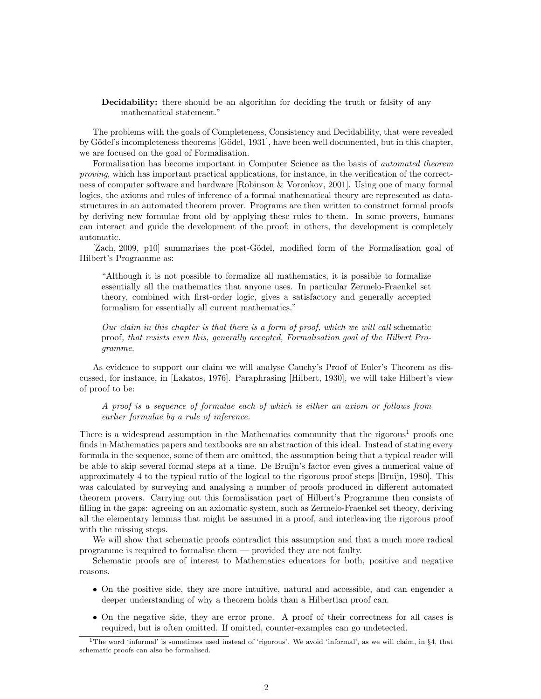Decidability: there should be an algorithm for deciding the truth or falsity of any mathematical statement."

The problems with the goals of Completeness, Consistency and Decidability, that were revealed by Gödel's incompleteness theorems [Gödel, 1931], have been well documented, but in this chapter, we are focused on the goal of Formalisation.

Formalisation has become important in Computer Science as the basis of automated theorem proving, which has important practical applications, for instance, in the verification of the correctness of computer software and hardware [Robinson & Voronkov, 2001]. Using one of many formal logics, the axioms and rules of inference of a formal mathematical theory are represented as datastructures in an automated theorem prover. Programs are then written to construct formal proofs by deriving new formulae from old by applying these rules to them. In some provers, humans can interact and guide the development of the proof; in others, the development is completely automatic.

[Zach, 2009, p10] summarises the post-Gödel, modified form of the Formalisation goal of Hilbert's Programme as:

"Although it is not possible to formalize all mathematics, it is possible to formalize essentially all the mathematics that anyone uses. In particular Zermelo-Fraenkel set theory, combined with first-order logic, gives a satisfactory and generally accepted formalism for essentially all current mathematics."

Our claim in this chapter is that there is a form of proof, which we will call schematic proof, that resists even this, generally accepted, Formalisation goal of the Hilbert Programme.

As evidence to support our claim we will analyse Cauchy's Proof of Euler's Theorem as discussed, for instance, in [Lakatos, 1976]. Paraphrasing [Hilbert, 1930], we will take Hilbert's view of proof to be:

A proof is a sequence of formulae each of which is either an axiom or follows from earlier formulae by a rule of inference.

There is a widespread assumption in the Mathematics community that the rigorous<sup>1</sup> proofs one finds in Mathematics papers and textbooks are an abstraction of this ideal. Instead of stating every formula in the sequence, some of them are omitted, the assumption being that a typical reader will be able to skip several formal steps at a time. De Bruijn's factor even gives a numerical value of approximately 4 to the typical ratio of the logical to the rigorous proof steps [Bruijn, 1980]. This was calculated by surveying and analysing a number of proofs produced in different automated theorem provers. Carrying out this formalisation part of Hilbert's Programme then consists of filling in the gaps: agreeing on an axiomatic system, such as Zermelo-Fraenkel set theory, deriving all the elementary lemmas that might be assumed in a proof, and interleaving the rigorous proof with the missing steps.

We will show that schematic proofs contradict this assumption and that a much more radical programme is required to formalise them — provided they are not faulty.

Schematic proofs are of interest to Mathematics educators for both, positive and negative reasons.

- On the positive side, they are more intuitive, natural and accessible, and can engender a deeper understanding of why a theorem holds than a Hilbertian proof can.
- On the negative side, they are error prone. A proof of their correctness for all cases is required, but is often omitted. If omitted, counter-examples can go undetected.

<sup>&</sup>lt;sup>1</sup>The word 'informal' is sometimes used instead of 'rigorous'. We avoid 'informal', as we will claim, in  $\S4$ , that schematic proofs can also be formalised.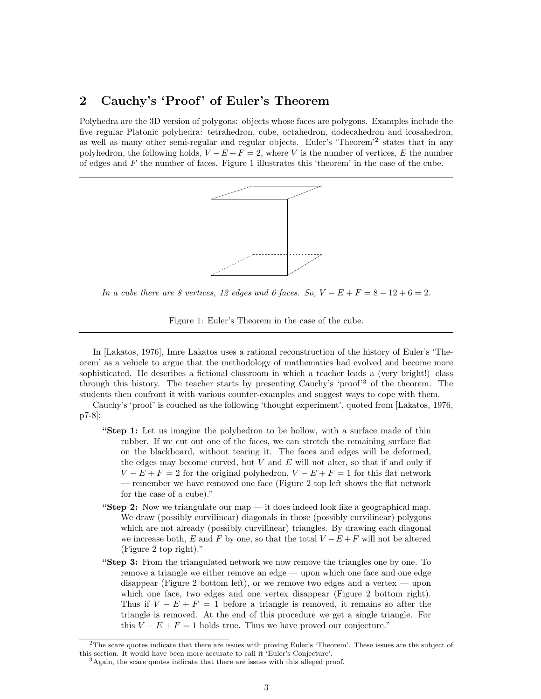## 2 Cauchy's 'Proof' of Euler's Theorem

Polyhedra are the 3D version of polygons: objects whose faces are polygons. Examples include the five regular Platonic polyhedra: tetrahedron, cube, octahedron, dodecahedron and icosahedron, as well as many other semi-regular and regular objects. Euler's 'Theorem'<sup>2</sup> states that in any polyhedron, the following holds,  $V - E + F = 2$ , where V is the number of vertices, E the number of edges and  $F$  the number of faces. Figure 1 illustrates this 'theorem' in the case of the cube.



In a cube there are 8 vertices, 12 edges and 6 faces. So,  $V - E + F = 8 - 12 + 6 = 2$ .

Figure 1: Euler's Theorem in the case of the cube.

In [Lakatos, 1976], Imre Lakatos uses a rational reconstruction of the history of Euler's 'Theorem' as a vehicle to argue that the methodology of mathematics had evolved and become more sophisticated. He describes a fictional classroom in which a teacher leads a (very bright!) class through this history. The teacher starts by presenting Cauchy's 'proof'<sup>3</sup> of the theorem. The students then confront it with various counter-examples and suggest ways to cope with them.

Cauchy's 'proof' is couched as the following 'thought experiment', quoted from [Lakatos, 1976, p7-8]:

- "Step 1: Let us imagine the polyhedron to be hollow, with a surface made of thin rubber. If we cut out one of the faces, we can stretch the remaining surface flat on the blackboard, without tearing it. The faces and edges will be deformed, the edges may become curved, but  $V$  and  $E$  will not alter, so that if and only if  $V - E + F = 2$  for the original polyhedron,  $V - E + F = 1$  for this flat network — remember we have removed one face (Figure 2 top left shows the flat network for the case of a cube)."
- "Step 2: Now we triangulate our map  $-$  it does indeed look like a geographical map. We draw (possibly curvilinear) diagonals in those (possibly curvilinear) polygons which are not already (possibly curvilinear) triangles. By drawing each diagonal we increase both, E and F by one, so that the total  $V - E + F$  will not be altered (Figure 2 top right)."
- "Step 3: From the triangulated network we now remove the triangles one by one. To remove a triangle we either remove an edge — upon which one face and one edge disappear (Figure 2 bottom left), or we remove two edges and a vertex — upon which one face, two edges and one vertex disappear (Figure 2 bottom right). Thus if  $V - E + F = 1$  before a triangle is removed, it remains so after the triangle is removed. At the end of this procedure we get a single triangle. For this  $V - E + F = 1$  holds true. Thus we have proved our conjecture."

<sup>2</sup>The scare quotes indicate that there are issues with proving Euler's 'Theorem'. These issues are the subject of this section. It would have been more accurate to call it 'Euler's Conjecture'.

<sup>&</sup>lt;sup>3</sup>Again, the scare quotes indicate that there are issues with this alleged proof.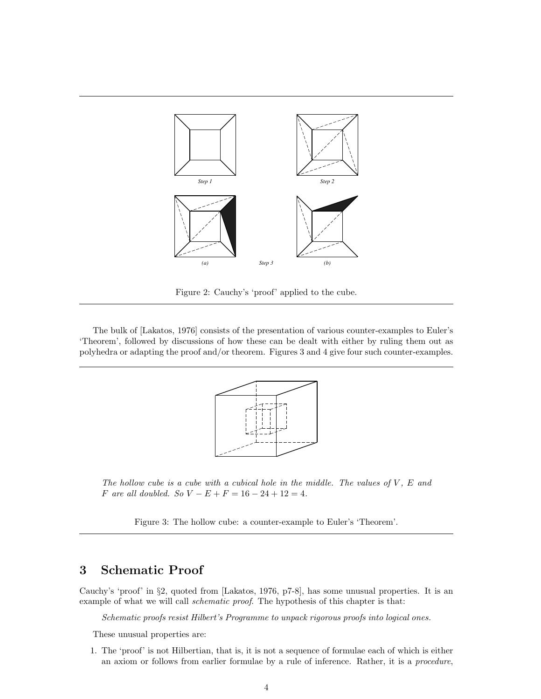

Figure 2: Cauchy's 'proof' applied to the cube.

The bulk of [Lakatos, 1976] consists of the presentation of various counter-examples to Euler's 'Theorem', followed by discussions of how these can be dealt with either by ruling them out as polyhedra or adapting the proof and/or theorem. Figures 3 and 4 give four such counter-examples.



The hollow cube is a cube with a cubical hole in the middle. The values of  $V, E$  and F are all doubled. So  $V - E + F = 16 - 24 + 12 = 4$ .

Figure 3: The hollow cube: a counter-example to Euler's 'Theorem'.

## 3 Schematic Proof

Cauchy's 'proof' in §2, quoted from [Lakatos, 1976, p7-8], has some unusual properties. It is an example of what we will call *schematic proof*. The hypothesis of this chapter is that:

Schematic proofs resist Hilbert's Programme to unpack rigorous proofs into logical ones.

These unusual properties are:

1. The 'proof' is not Hilbertian, that is, it is not a sequence of formulae each of which is either an axiom or follows from earlier formulae by a rule of inference. Rather, it is a procedure,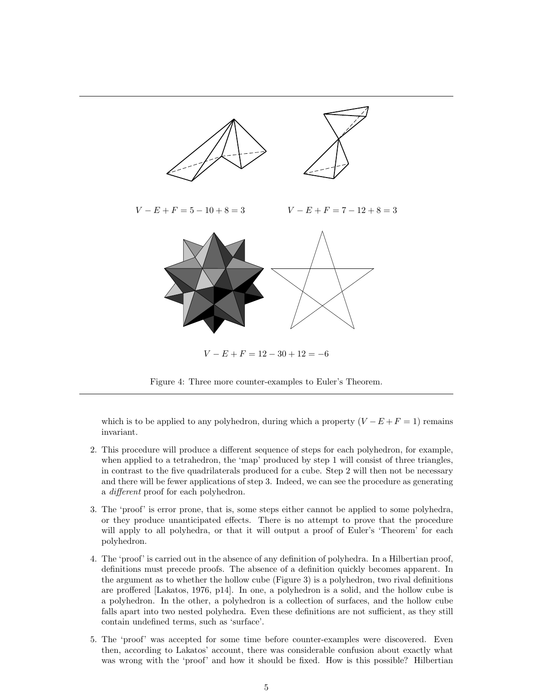

Figure 4: Three more counter-examples to Euler's Theorem.

which is to be applied to any polyhedron, during which a property  $(V - E + F = 1)$  remains invariant.

- 2. This procedure will produce a different sequence of steps for each polyhedron, for example, when applied to a tetrahedron, the 'map' produced by step 1 will consist of three triangles, in contrast to the five quadrilaterals produced for a cube. Step 2 will then not be necessary and there will be fewer applications of step 3. Indeed, we can see the procedure as generating a different proof for each polyhedron.
- 3. The 'proof' is error prone, that is, some steps either cannot be applied to some polyhedra, or they produce unanticipated effects. There is no attempt to prove that the procedure will apply to all polyhedra, or that it will output a proof of Euler's 'Theorem' for each polyhedron.
- 4. The 'proof' is carried out in the absence of any definition of polyhedra. In a Hilbertian proof, definitions must precede proofs. The absence of a definition quickly becomes apparent. In the argument as to whether the hollow cube (Figure 3) is a polyhedron, two rival definitions are proffered [Lakatos, 1976, p14]. In one, a polyhedron is a solid, and the hollow cube is a polyhedron. In the other, a polyhedron is a collection of surfaces, and the hollow cube falls apart into two nested polyhedra. Even these definitions are not sufficient, as they still contain undefined terms, such as 'surface'.
- 5. The 'proof' was accepted for some time before counter-examples were discovered. Even then, according to Lakatos' account, there was considerable confusion about exactly what was wrong with the 'proof' and how it should be fixed. How is this possible? Hilbertian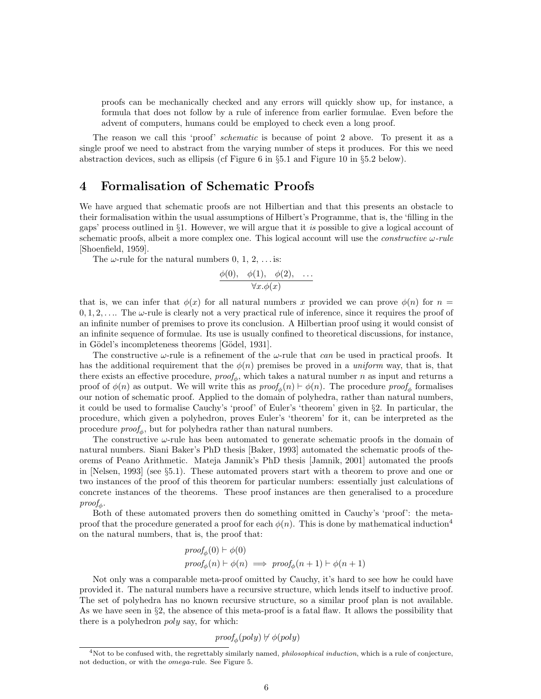proofs can be mechanically checked and any errors will quickly show up, for instance, a formula that does not follow by a rule of inference from earlier formulae. Even before the advent of computers, humans could be employed to check even a long proof.

The reason we call this 'proof' schematic is because of point 2 above. To present it as a single proof we need to abstract from the varying number of steps it produces. For this we need abstraction devices, such as ellipsis (cf Figure 6 in  $\S 5.1$  and Figure 10 in  $\S 5.2$  below).

### 4 Formalisation of Schematic Proofs

We have argued that schematic proofs are not Hilbertian and that this presents an obstacle to their formalisation within the usual assumptions of Hilbert's Programme, that is, the 'filling in the gaps' process outlined in §1. However, we will argue that it is possible to give a logical account of schematic proofs, albeit a more complex one. This logical account will use the *constructive*  $\omega$ -rule [Shoenfield, 1959].

The  $\omega$ -rule for the natural numbers 0, 1, 2, ... is:

$$
\frac{\phi(0), \phi(1), \phi(2), \dots}{\forall x. \phi(x)}
$$

that is, we can infer that  $\phi(x)$  for all natural numbers x provided we can prove  $\phi(n)$  for  $n =$  $0, 1, 2, \ldots$  The  $\omega$ -rule is clearly not a very practical rule of inference, since it requires the proof of an infinite number of premises to prove its conclusion. A Hilbertian proof using it would consist of an infinite sequence of formulae. Its use is usually confined to theoretical discussions, for instance, in Gödel's incompleteness theorems [Gödel, 1931].

The constructive  $\omega$ -rule is a refinement of the  $\omega$ -rule that can be used in practical proofs. It has the additional requirement that the  $\phi(n)$  premises be proved in a *uniform* way, that is, that there exists an effective procedure,  $\text{proof}_\phi$ , which takes a natural number n as input and returns a proof of  $\phi(n)$  as output. We will write this as  $\text{proof}_\phi(n) \vdash \phi(n)$ . The procedure  $\text{proof}_\phi$  formalises our notion of schematic proof. Applied to the domain of polyhedra, rather than natural numbers, it could be used to formalise Cauchy's 'proof' of Euler's 'theorem' given in §2. In particular, the procedure, which given a polyhedron, proves Euler's 'theorem' for it, can be interpreted as the procedure  $\text{proof}_{\phi}$ , but for polyhedra rather than natural numbers.

The constructive  $\omega$ -rule has been automated to generate schematic proofs in the domain of natural numbers. Siani Baker's PhD thesis [Baker, 1993] automated the schematic proofs of theorems of Peano Arithmetic. Mateja Jamnik's PhD thesis [Jamnik, 2001] automated the proofs in [Nelsen, 1993] (see §5.1). These automated provers start with a theorem to prove and one or two instances of the proof of this theorem for particular numbers: essentially just calculations of concrete instances of the theorems. These proof instances are then generalised to a procedure  $\textit{proof}_\phi$ .

Both of these automated provers then do something omitted in Cauchy's 'proof': the metaproof that the procedure generated a proof for each  $\phi(n)$ . This is done by mathematical induction<sup>4</sup> on the natural numbers, that is, the proof that:

$$
\begin{aligned} &\text{proof}_{\phi}(0) \vdash \phi(0) \\ &\text{proof}_{\phi}(n) \vdash \phi(n) \implies \text{proof}_{\phi}(n+1) \vdash \phi(n+1) \end{aligned}
$$

Not only was a comparable meta-proof omitted by Cauchy, it's hard to see how he could have provided it. The natural numbers have a recursive structure, which lends itself to inductive proof. The set of polyhedra has no known recursive structure, so a similar proof plan is not available. As we have seen in  $\S 2$ , the absence of this meta-proof is a fatal flaw. It allows the possibility that there is a polyhedron *poly* say, for which:

 $\text{proof}_\phi(\text{poly}) \not\vdash \phi(\text{poly})$ 

 $4$ Not to be confused with, the regrettably similarly named, *philosophical induction*, which is a rule of conjecture, not deduction, or with the omega-rule. See Figure 5.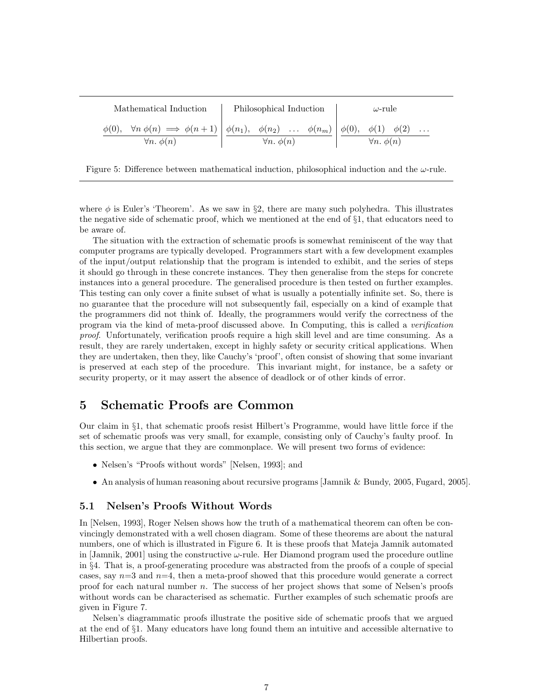| Mathematical Induction              | Philosophical Induction                                                                                                                | $\omega$ -rule       |
|-------------------------------------|----------------------------------------------------------------------------------------------------------------------------------------|----------------------|
| $\phi(0)$ ,<br>$\forall n. \phi(n)$ | $\forall n \phi(n) \implies \phi(n+1) \mid \phi(n_1), \phi(n_2) \dots \phi(n_m) \mid \phi(0), \phi(1) \phi(2)$<br>$\forall n. \phi(n)$ | $\forall n. \phi(n)$ |

Figure 5: Difference between mathematical induction, philosophical induction and the  $\omega$ -rule.

where  $\phi$  is Euler's 'Theorem'. As we saw in §2, there are many such polyhedra. This illustrates the negative side of schematic proof, which we mentioned at the end of  $\S1$ , that educators need to be aware of.

The situation with the extraction of schematic proofs is somewhat reminiscent of the way that computer programs are typically developed. Programmers start with a few development examples of the input/output relationship that the program is intended to exhibit, and the series of steps it should go through in these concrete instances. They then generalise from the steps for concrete instances into a general procedure. The generalised procedure is then tested on further examples. This testing can only cover a finite subset of what is usually a potentially infinite set. So, there is no guarantee that the procedure will not subsequently fail, especially on a kind of example that the programmers did not think of. Ideally, the programmers would verify the correctness of the program via the kind of meta-proof discussed above. In Computing, this is called a verification proof. Unfortunately, verification proofs require a high skill level and are time consuming. As a result, they are rarely undertaken, except in highly safety or security critical applications. When they are undertaken, then they, like Cauchy's 'proof', often consist of showing that some invariant is preserved at each step of the procedure. This invariant might, for instance, be a safety or security property, or it may assert the absence of deadlock or of other kinds of error.

### 5 Schematic Proofs are Common

Our claim in §1, that schematic proofs resist Hilbert's Programme, would have little force if the set of schematic proofs was very small, for example, consisting only of Cauchy's faulty proof. In this section, we argue that they are commonplace. We will present two forms of evidence:

- Nelsen's "Proofs without words" [Nelsen, 1993]; and
- An analysis of human reasoning about recursive programs [Jamnik & Bundy, 2005, Fugard, 2005].

#### 5.1 Nelsen's Proofs Without Words

In [Nelsen, 1993], Roger Nelsen shows how the truth of a mathematical theorem can often be convincingly demonstrated with a well chosen diagram. Some of these theorems are about the natural numbers, one of which is illustrated in Figure 6. It is these proofs that Mateja Jamnik automated in [Jamnik, 2001] using the constructive  $\omega$ -rule. Her Diamond program used the procedure outline in §4. That is, a proof-generating procedure was abstracted from the proofs of a couple of special cases, say  $n=3$  and  $n=4$ , then a meta-proof showed that this procedure would generate a correct proof for each natural number  $n$ . The success of her project shows that some of Nelsen's proofs without words can be characterised as schematic. Further examples of such schematic proofs are given in Figure 7.

Nelsen's diagrammatic proofs illustrate the positive side of schematic proofs that we argued at the end of §1. Many educators have long found them an intuitive and accessible alternative to Hilbertian proofs.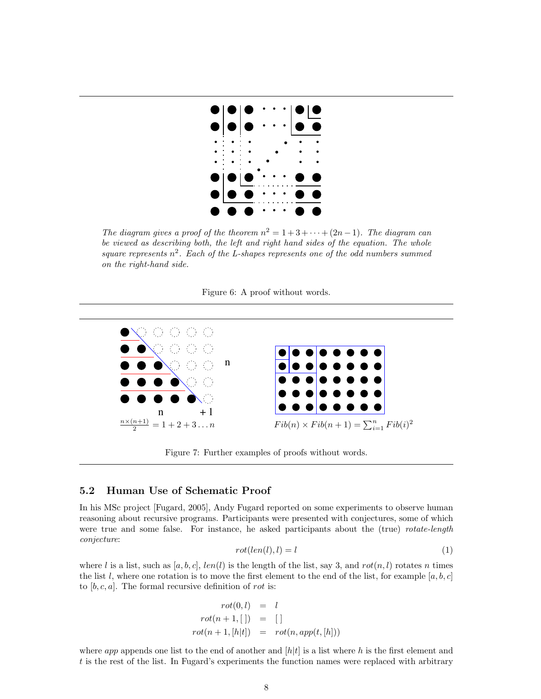

The diagram gives a proof of the theorem  $n^2 = 1 + 3 + \cdots + (2n - 1)$ . The diagram can be viewed as describing both, the left and right hand sides of the equation. The whole square represents  $n^2$ . Each of the L-shapes represents one of the odd numbers summed on the right-hand side.

Figure 6: A proof without words.



Figure 7: Further examples of proofs without words.

#### 5.2 Human Use of Schematic Proof

In his MSc project [Fugard, 2005], Andy Fugard reported on some experiments to observe human reasoning about recursive programs. Participants were presented with conjectures, some of which were true and some false. For instance, he asked participants about the (true) *rotate-length* conjecture:

$$
rot(len(l),l) = l \tag{1}
$$

where l is a list, such as  $[a, b, c]$ , len(l) is the length of the list, say 3, and  $rot(n, l)$  rotates n times the list l, where one rotation is to move the first element to the end of the list, for example [a, b, c] to  $[b, c, a]$ . The formal recursive definition of rot is:

$$
rot(0,l) = l
$$
  
\n
$$
rot(n+1,[|) = |]
$$
  
\n
$$
rot(n+1,[h|t]) = rot(n, app(t,[h]))
$$

where app appends one list to the end of another and  $[h|t]$  is a list where h is the first element and t is the rest of the list. In Fugard's experiments the function names were replaced with arbitrary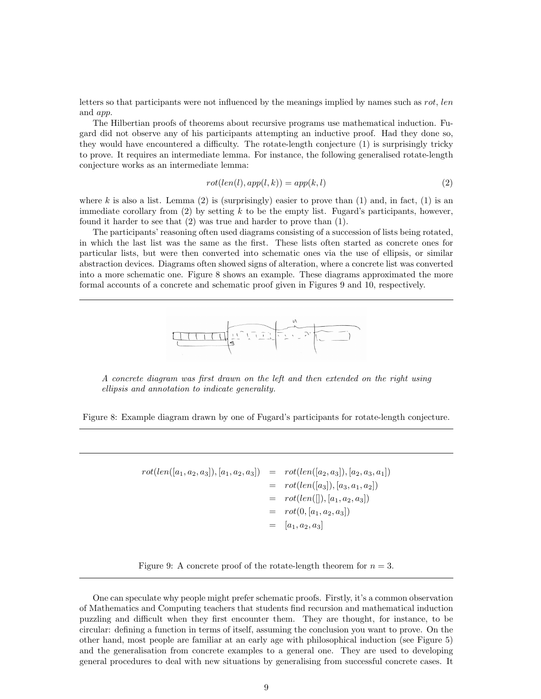letters so that participants were not influenced by the meanings implied by names such as  $rot$ , len and app.

The Hilbertian proofs of theorems about recursive programs use mathematical induction. Fugard did not observe any of his participants attempting an inductive proof. Had they done so, they would have encountered a difficulty. The rotate-length conjecture (1) is surprisingly tricky to prove. It requires an intermediate lemma. For instance, the following generalised rotate-length conjecture works as an intermediate lemma:

$$
rot(len(l), app(l, k)) = app(k, l)
$$
\n
$$
(2)
$$

where k is also a list. Lemma (2) is (surprisingly) easier to prove than (1) and, in fact, (1) is an immediate corollary from (2) by setting k to be the empty list. Fugard's participants, however, found it harder to see that (2) was true and harder to prove than (1).

The participants' reasoning often used diagrams consisting of a succession of lists being rotated, in which the last list was the same as the first. These lists often started as concrete ones for particular lists, but were then converted into schematic ones via the use of ellipsis, or similar abstraction devices. Diagrams often showed signs of alteration, where a concrete list was converted into a more schematic one. Figure 8 shows an example. These diagrams approximated the more formal accounts of a concrete and schematic proof given in Figures 9 and 10, respectively.



A concrete diagram was first drawn on the left and then extended on the right using ellipsis and annotation to indicate generality.

Figure 8: Example diagram drawn by one of Fugard's participants for rotate-length conjecture.

$$
rot(len([a_1, a_2, a_3]), [a_1, a_2, a_3]) = rot(len([a_2, a_3]), [a_2, a_3, a_1])
$$
  
= rot(len([a\_3]), [a\_3, a\_1, a\_2])  
= rot(len([[), [a\_1, a\_2, a\_3])  
= rot(0, [a\_1, a\_2, a\_3])  
= [a\_1, a\_2, a\_3]

Figure 9: A concrete proof of the rotate-length theorem for  $n = 3$ .

One can speculate why people might prefer schematic proofs. Firstly, it's a common observation of Mathematics and Computing teachers that students find recursion and mathematical induction puzzling and difficult when they first encounter them. They are thought, for instance, to be circular: defining a function in terms of itself, assuming the conclusion you want to prove. On the other hand, most people are familiar at an early age with philosophical induction (see Figure 5) and the generalisation from concrete examples to a general one. They are used to developing general procedures to deal with new situations by generalising from successful concrete cases. It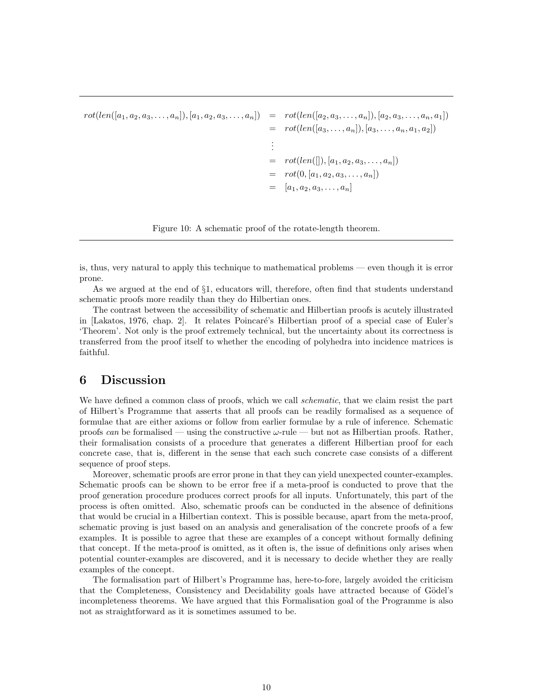$rot(len([a_1, a_2, a_3, \ldots, a_n]), [a_1, a_2, a_3, \ldots, a_n]) = rot(len([a_2, a_3, \ldots, a_n]), [a_2, a_3, \ldots, a_n, a_1])$  $= rot(len([a_3, \ldots, a_n]), [a_3, \ldots, a_n, a_1, a_2])$ . . .  $= rot(len(||), [a_1, a_2, a_3, \ldots, a_n])$  $= rot(0, [a_1, a_2, a_3, \ldots, a_n])$  $= [a_1, a_2, a_3, \ldots, a_n]$ 

Figure 10: A schematic proof of the rotate-length theorem.

is, thus, very natural to apply this technique to mathematical problems — even though it is error prone.

As we argued at the end of §1, educators will, therefore, often find that students understand schematic proofs more readily than they do Hilbertian ones.

The contrast between the accessibility of schematic and Hilbertian proofs is acutely illustrated in [Lakatos, 1976, chap. 2]. It relates Poincaré's Hilbertian proof of a special case of Euler's 'Theorem'. Not only is the proof extremely technical, but the uncertainty about its correctness is transferred from the proof itself to whether the encoding of polyhedra into incidence matrices is faithful.

### 6 Discussion

We have defined a common class of proofs, which we call *schematic*, that we claim resist the part of Hilbert's Programme that asserts that all proofs can be readily formalised as a sequence of formulae that are either axioms or follow from earlier formulae by a rule of inference. Schematic proofs can be formalised — using the constructive  $\omega$ -rule — but not as Hilbertian proofs. Rather, their formalisation consists of a procedure that generates a different Hilbertian proof for each concrete case, that is, different in the sense that each such concrete case consists of a different sequence of proof steps.

Moreover, schematic proofs are error prone in that they can yield unexpected counter-examples. Schematic proofs can be shown to be error free if a meta-proof is conducted to prove that the proof generation procedure produces correct proofs for all inputs. Unfortunately, this part of the process is often omitted. Also, schematic proofs can be conducted in the absence of definitions that would be crucial in a Hilbertian context. This is possible because, apart from the meta-proof, schematic proving is just based on an analysis and generalisation of the concrete proofs of a few examples. It is possible to agree that these are examples of a concept without formally defining that concept. If the meta-proof is omitted, as it often is, the issue of definitions only arises when potential counter-examples are discovered, and it is necessary to decide whether they are really examples of the concept.

The formalisation part of Hilbert's Programme has, here-to-fore, largely avoided the criticism that the Completeness, Consistency and Decidability goals have attracted because of Gödel's incompleteness theorems. We have argued that this Formalisation goal of the Programme is also not as straightforward as it is sometimes assumed to be.